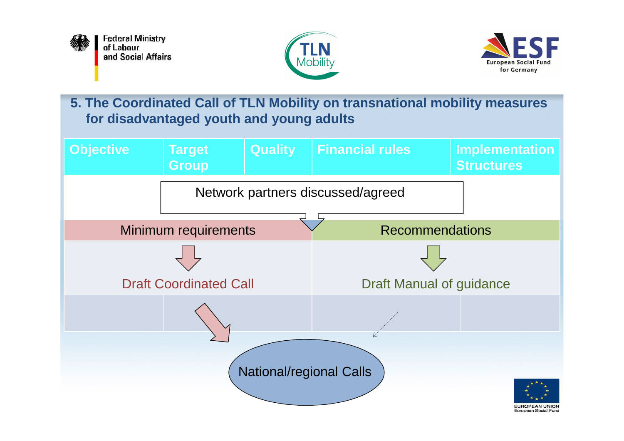





**5. The Coordinated Call of TLN Mobility on transnational mobility measuresfor disadvantaged youth and young adults**